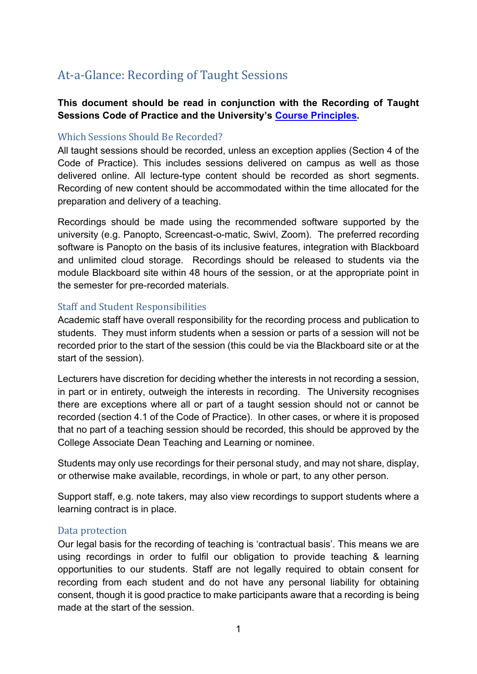### <span id="page-0-0"></span>At-a-Glance: Recording of Taught Sessions

### **This document should be read in conjunction with the Recording of Taught Sessions Code of Practice and the University's [Course Principles.](https://sheffieldhallam.sharepoint.com/sites/4074/Shared%20Documents/Forms/undefined)**

#### <span id="page-0-1"></span>Which Sessions Should Be Recorded?

All taught sessions should be recorded, unless an exception applies (Section 4 of the Code of Practice). This includes sessions delivered on campus as well as those delivered online. All lecture-type content should be recorded as short segments. Recording of new content should be accommodated within the time allocated for the preparation and delivery of a teaching.

Recordings should be made using the recommended software supported by the university (e.g. Panopto, Screencast-o-matic, Swivl, Zoom). The preferred recording software is Panopto on the basis of its inclusive features, integration with Blackboard and unlimited cloud storage. Recordings should be released to students via the module Blackboard site within 48 hours of the session, or at the appropriate point in the semester for pre-recorded materials.

#### <span id="page-0-2"></span>Staff and Student Responsibilities

Academic staff have overall responsibility for the recording process and publication to students. They must inform students when a session or parts of a session will not be recorded prior to the start of the session (this could be via the Blackboard site or at the start of the session).

Lecturers have discretion for deciding whether the interests in not recording a session, in part or in entirety, outweigh the interests in recording. The University recognises there are exceptions where all or part of a taught session should not or cannot be recorded (section 4.1 of the Code of Practice). In other cases, or where it is proposed that no part of a teaching session should be recorded, this should be approved by the College Associate Dean Teaching and Learning or nominee.

Students may only use recordings for their personal study, and may not share, display, or otherwise make available, recordings, in whole or part, to any other person.

Support staff, e.g. note takers, may also view recordings to support students where a learning contract is in place.

#### <span id="page-0-3"></span>Data protection

Our legal basis for the recording of teaching is 'contractual basis'. This means we are using recordings in order to fulfil our obligation to provide teaching & learning opportunities to our students. Staff are not legally required to obtain consent for recording from each student and do not have any personal liability for obtaining consent, though it is good practice to make participants aware that a recording is being made at the start of the session.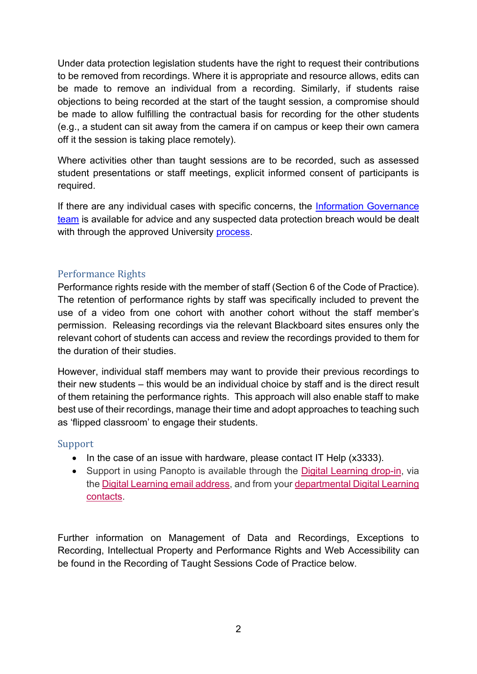Under data protection legislation students have the right to request their contributions to be removed from recordings. Where it is appropriate and resource allows, edits can be made to remove an individual from a recording. Similarly, if students raise objections to being recorded at the start of the taught session, a compromise should be made to allow fulfilling the contractual basis for recording for the other students (e.g., a student can sit away from the camera if on campus or keep their own camera off it the session is taking place remotely).

Where activities other than taught sessions are to be recorded, such as assessed student presentations or staff meetings, explicit informed consent of participants is required.

If there are any individual cases with specific concerns, the [Information Governance](https://sheffieldhallam.sharepoint.com/sites/3037/SitePages/Information%20Governance.aspx)  [team](https://sheffieldhallam.sharepoint.com/sites/3037/SitePages/Information%20Governance.aspx) is available for advice and any suspected data protection breach would be dealt with through the approved University [process.](https://sheffieldhallam.sharepoint.com/sites/3037/SitePages/Data-Incident-Breaches.aspx)

### <span id="page-1-0"></span>Performance Rights

Performance rights reside with the member of staff (Section 6 of the Code of Practice). The retention of performance rights by staff was specifically included to prevent the use of a video from one cohort with another cohort without the staff member's permission. Releasing recordings via the relevant Blackboard sites ensures only the relevant cohort of students can access and review the recordings provided to them for the duration of their studies.

However, individual staff members may want to provide their previous recordings to their new students – this would be an individual choice by staff and is the direct result of them retaining the performance rights. This approach will also enable staff to make best use of their recordings, manage their time and adopt approaches to teaching such as 'flipped classroom' to engage their students.

#### Support

- In the case of an issue with hardware, please contact IT Help (x3333).
- Support in using Panopto is available through the [Digital Learning drop-in,](https://eu.bbcollab.com/guest/951a12d541a04de28f9260578ce901e5) via the [Digital Learning email address,](mailto:digitallearning@shu.ac.uk) and from your [departmental Digital Learning](https://blog.shu.ac.uk/digitallearning/digital-learning-contacts/)  [contacts.](https://blog.shu.ac.uk/digitallearning/digital-learning-contacts/)

Further information on Management of Data and Recordings, Exceptions to Recording, Intellectual Property and Performance Rights and Web Accessibility can be found in the Recording of Taught Sessions Code of Practice below.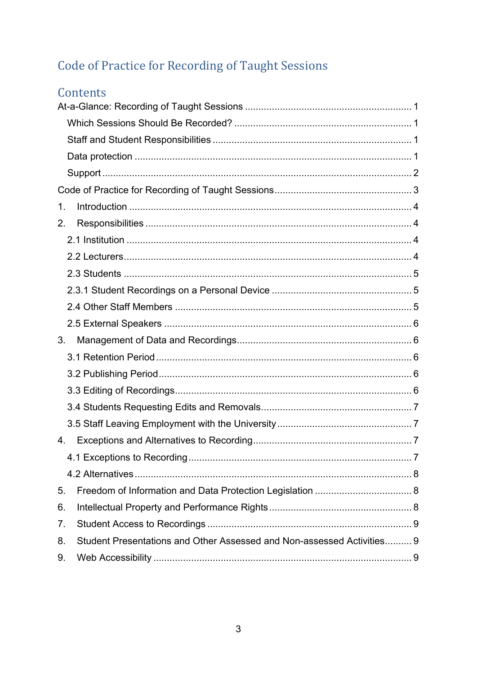# <span id="page-2-0"></span>Code of Practice for Recording of Taught Sessions

# Contents

| 1.             |                                                                        |  |
|----------------|------------------------------------------------------------------------|--|
| 2.             |                                                                        |  |
|                |                                                                        |  |
|                |                                                                        |  |
|                |                                                                        |  |
|                |                                                                        |  |
|                |                                                                        |  |
|                |                                                                        |  |
| 3.             |                                                                        |  |
|                |                                                                        |  |
|                |                                                                        |  |
|                |                                                                        |  |
|                |                                                                        |  |
|                |                                                                        |  |
| 4.             |                                                                        |  |
|                |                                                                        |  |
|                |                                                                        |  |
| 5.             |                                                                        |  |
| 6.             |                                                                        |  |
| 7 <sub>1</sub> |                                                                        |  |
| 8.             | Student Presentations and Other Assessed and Non-assessed Activities 9 |  |
| 9.             |                                                                        |  |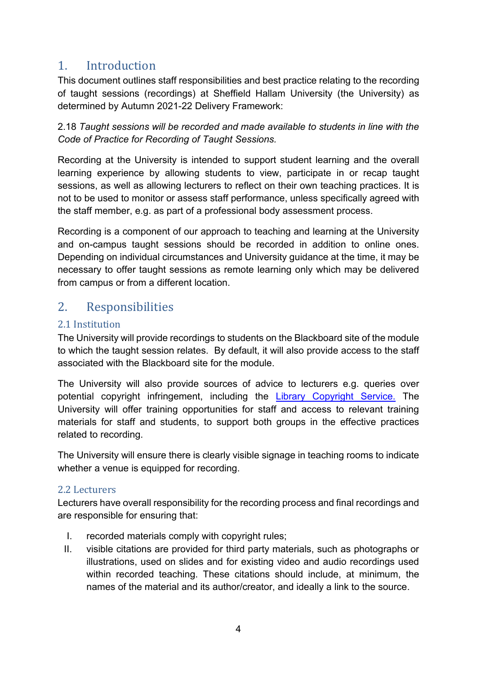### <span id="page-3-0"></span>1. Introduction

This document outlines staff responsibilities and best practice relating to the recording of taught sessions (recordings) at Sheffield Hallam University (the University) as determined by Autumn 2021-22 Delivery Framework:

2.18 *Taught sessions will be recorded and made available to students in line with the Code of Practice for Recording of Taught Sessions.*

Recording at the University is intended to support student learning and the overall learning experience by allowing students to view, participate in or recap taught sessions, as well as allowing lecturers to reflect on their own teaching practices. It is not to be used to monitor or assess staff performance, unless specifically agreed with the staff member, e.g. as part of a professional body assessment process.

Recording is a component of our approach to teaching and learning at the University and on-campus taught sessions should be recorded in addition to online ones. Depending on individual circumstances and University guidance at the time, it may be necessary to offer taught sessions as remote learning only which may be delivered from campus or from a different location.

### <span id="page-3-1"></span>2. Responsibilities

### <span id="page-3-2"></span>2.1 Institution

The University will provide recordings to students on the Blackboard site of the module to which the taught session relates. By default, it will also provide access to the staff associated with the Blackboard site for the module.

The University will also provide sources of advice to lecturers e.g. queries over potential copyright infringement, including the [Library Copyright Service.](https://libguides.shu.ac.uk/copyright) The University will offer training opportunities for staff and access to relevant training materials for staff and students, to support both groups in the effective practices related to recording.

The University will ensure there is clearly visible signage in teaching rooms to indicate whether a venue is equipped for recording.

### <span id="page-3-3"></span>2.2 Lecturers

Lecturers have overall responsibility for the recording process and final recordings and are responsible for ensuring that:

- I. recorded materials comply with copyright rules;
- II. visible citations are provided for third party materials, such as photographs or illustrations, used on slides and for existing video and audio recordings used within recorded teaching. These citations should include, at minimum, the names of the material and its author/creator, and ideally a link to the source.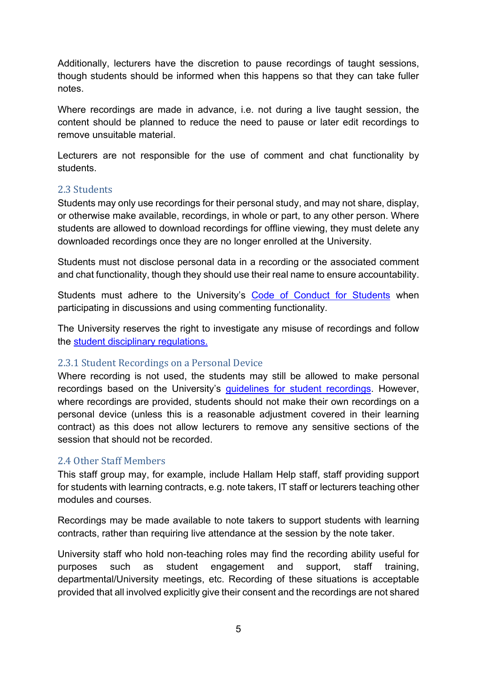Additionally, lecturers have the discretion to pause recordings of taught sessions, though students should be informed when this happens so that they can take fuller notes.

Where recordings are made in advance, i.e. not during a live taught session, the content should be planned to reduce the need to pause or later edit recordings to remove unsuitable material.

Lecturers are not responsible for the use of comment and chat functionality by students.

### <span id="page-4-0"></span>2.3 Students

Students may only use recordings for their personal study, and may not share, display, or otherwise make available, recordings, in whole or part, to any other person. Where students are allowed to download recordings for offline viewing, they must delete any downloaded recordings once they are no longer enrolled at the University.

Students must not disclose personal data in a recording or the associated comment and chat functionality, though they should use their real name to ensure accountability.

Students must adhere to the University's [Code of Conduct for Students](https://students.shu.ac.uk/shuspacecontent/my_course/student-code-conduct) when participating in discussions and using commenting functionality.

The University reserves the right to investigate any misuse of recordings and follow the [student disciplinary regulations.](https://students.shu.ac.uk/regulations/conduct_discipline/Disciplinary%20Regulations%20for%20Students.pdf)

#### <span id="page-4-1"></span>2.3.1 Student Recordings on a Personal Device

Where recording is not used, the students may still be allowed to make personal recordings based on the University's [guidelines for student recordings.](https://students.shu.ac.uk/regulations/it/Guidelines%20for%20students%20on%20recording%20teaching.pdf) However, where recordings are provided, students should not make their own recordings on a personal device (unless this is a reasonable adjustment covered in their learning contract) as this does not allow lecturers to remove any sensitive sections of the session that should not be recorded.

#### <span id="page-4-2"></span>2.4 Other Staff Members

This staff group may, for example, include Hallam Help staff, staff providing support for students with learning contracts, e.g. note takers, IT staff or lecturers teaching other modules and courses.

Recordings may be made available to note takers to support students with learning contracts, rather than requiring live attendance at the session by the note taker.

University staff who hold non-teaching roles may find the recording ability useful for purposes such as student engagement and support, staff training, departmental/University meetings, etc. Recording of these situations is acceptable provided that all involved explicitly give their consent and the recordings are not shared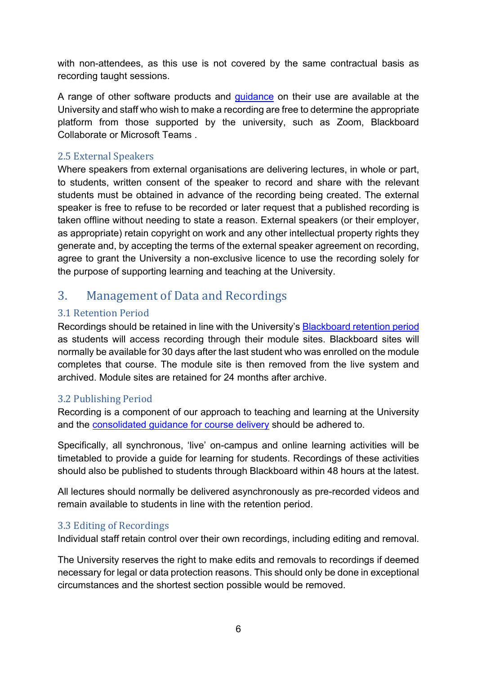with non-attendees, as this use is not covered by the same contractual basis as recording taught sessions.

A range of other software products and *guidance* on their use are available at the University and staff who wish to make a recording are free to determine the appropriate platform from those supported by the university, such as Zoom, Blackboard Collaborate or Microsoft Teams .

### <span id="page-5-0"></span>2.5 External Speakers

Where speakers from external organisations are delivering lectures, in whole or part, to students, written consent of the speaker to record and share with the relevant students must be obtained in advance of the recording being created. The external speaker is free to refuse to be recorded or later request that a published recording is taken offline without needing to state a reason. External speakers (or their employer, as appropriate) retain copyright on work and any other intellectual property rights they generate and, by accepting the terms of the external speaker agreement on recording, agree to grant the University a non-exclusive licence to use the recording solely for the purpose of supporting learning and teaching at the University.

### <span id="page-5-1"></span>3. Management of Data and Recordings

### <span id="page-5-2"></span>3.1 Retention Period

Recordings should be retained in line with the University's **[Blackboard retention period](https://telhelp.shu.ac.uk/know-about-using-blackboard-shu)** as students will access recording through their module sites. Blackboard sites will normally be available for 30 days after the last student who was enrolled on the module completes that course. The module site is then removed from the live system and archived. Module sites are retained for 24 months after archive.

### <span id="page-5-3"></span>3.2 Publishing Period

Recording is a component of our approach to teaching and learning at the University and the [consolidated guidance for course delivery](https://blog.shu.ac.uk/teachingdelivery/course-delivery/consolidated-guidance/) should be adhered to.

Specifically, all synchronous, 'live' on-campus and online learning activities will be timetabled to provide a guide for learning for students. Recordings of these activities should also be published to students through Blackboard within 48 hours at the latest.

All lectures should normally be delivered asynchronously as pre-recorded videos and remain available to students in line with the retention period.

### <span id="page-5-4"></span>3.3 Editing of Recordings

Individual staff retain control over their own recordings, including editing and removal.

The University reserves the right to make edits and removals to recordings if deemed necessary for legal or data protection reasons. This should only be done in exceptional circumstances and the shortest section possible would be removed.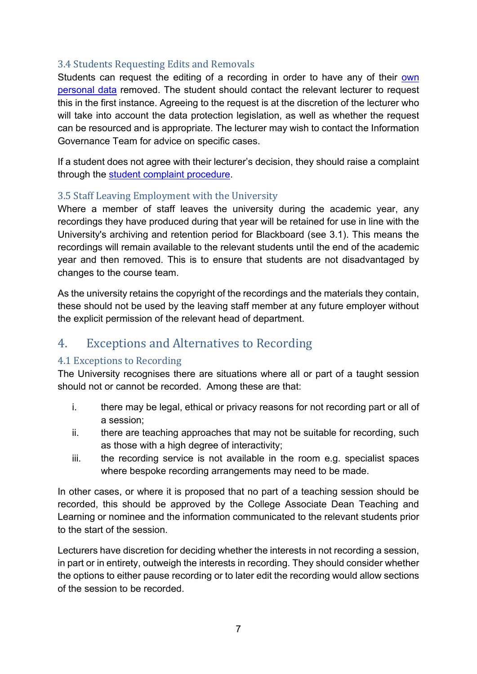### <span id="page-6-0"></span>3.4 Students Requesting Edits and Removals

Students can request the editing of a recording in order to have any of their own [personal data](https://students.shu.ac.uk/regulations/personal_information/DP_Individual_Rights_Subject_Access.html) removed. The student should contact the relevant lecturer to request this in the first instance. Agreeing to the request is at the discretion of the lecturer who will take into account the data protection legislation, as well as whether the request can be resourced and is appropriate. The lecturer may wish to contact the Information Governance Team for advice on specific cases.

If a student does not agree with their lecturer's decision, they should raise a complaint through the [student complaint procedure.](https://students.shu.ac.uk/regulations/appeals_and_complaints/)

### <span id="page-6-1"></span>3.5 Staff Leaving Employment with the University

Where a member of staff leaves the university during the academic year, any recordings they have produced during that year will be retained for use in line with the University's archiving and retention period for Blackboard (see 3.1). This means the recordings will remain available to the relevant students until the end of the academic year and then removed. This is to ensure that students are not disadvantaged by changes to the course team.

As the university retains the copyright of the recordings and the materials they contain, these should not be used by the leaving staff member at any future employer without the explicit permission of the relevant head of department.

### <span id="page-6-2"></span>4. Exceptions and Alternatives to Recording

### <span id="page-6-3"></span>4.1 Exceptions to Recording

The University recognises there are situations where all or part of a taught session should not or cannot be recorded. Among these are that:

- i. there may be legal, ethical or privacy reasons for not recording part or all of a session;
- ii. there are teaching approaches that may not be suitable for recording, such as those with a high degree of interactivity;
- iii. the recording service is not available in the room e.g. specialist spaces where bespoke recording arrangements may need to be made.

In other cases, or where it is proposed that no part of a teaching session should be recorded, this should be approved by the College Associate Dean Teaching and Learning or nominee and the information communicated to the relevant students prior to the start of the session.

Lecturers have discretion for deciding whether the interests in not recording a session, in part or in entirety, outweigh the interests in recording. They should consider whether the options to either pause recording or to later edit the recording would allow sections of the session to be recorded.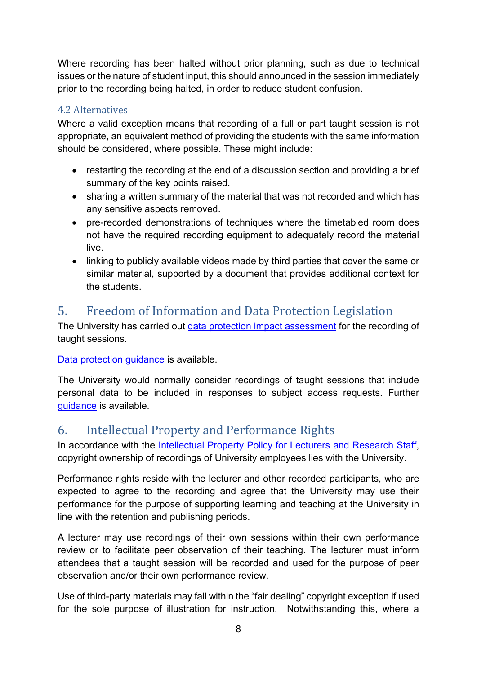Where recording has been halted without prior planning, such as due to technical issues or the nature of student input, this should announced in the session immediately prior to the recording being halted, in order to reduce student confusion.

### <span id="page-7-0"></span>4.2 Alternatives

Where a valid exception means that recording of a full or part taught session is not appropriate, an equivalent method of providing the students with the same information should be considered, where possible. These might include:

- restarting the recording at the end of a discussion section and providing a brief summary of the key points raised.
- sharing a written summary of the material that was not recorded and which has any sensitive aspects removed.
- pre-recorded demonstrations of techniques where the timetabled room does not have the required recording equipment to adequately record the material live.
- linking to publicly available videos made by third parties that cover the same or similar material, supported by a document that provides additional context for the students.

### <span id="page-7-1"></span>5. Freedom of Information and Data Protection Legislation

The University has carried out [data protection impact assessment](https://sheffieldhallam.sharepoint.com/:w:/s/4027/EU3vRpf-fMVKkUp7aBuDy5UBZHi3_xk45I_5U5A70BqLEg?e=45YMy5) for the recording of taught sessions.

[Data protection guidance](https://students.shu.ac.uk/regulations/personal_information/index.html) is available.

The University would normally consider recordings of taught sessions that include personal data to be included in responses to subject access requests. Further [guidance](https://students.shu.ac.uk/regulations/personal_information/DP_Individual_Rights_Subject_Access.html) is available.

### <span id="page-7-2"></span>6. Intellectual Property and Performance Rights

In accordance with the Intellectual Property Policy for Lecturers and Research Staff. copyright ownership of recordings of University employees lies with the University.

Performance rights reside with the lecturer and other recorded participants, who are expected to agree to the recording and agree that the University may use their performance for the purpose of supporting learning and teaching at the University in line with the retention and publishing periods.

A lecturer may use recordings of their own sessions within their own performance review or to facilitate peer observation of their teaching. The lecturer must inform attendees that a taught session will be recorded and used for the purpose of peer observation and/or their own performance review.

Use of third-party materials may fall within the "fair dealing" copyright exception if used for the sole purpose of illustration for instruction. Notwithstanding this, where a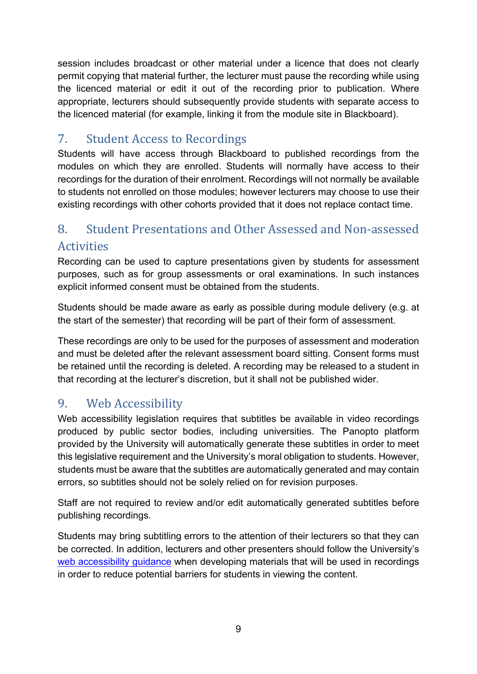session includes broadcast or other material under a licence that does not clearly permit copying that material further, the lecturer must pause the recording while using the licenced material or edit it out of the recording prior to publication. Where appropriate, lecturers should subsequently provide students with separate access to the licenced material (for example, linking it from the module site in Blackboard).

# <span id="page-8-0"></span>7. Student Access to Recordings

Students will have access through Blackboard to published recordings from the modules on which they are enrolled. Students will normally have access to their recordings for the duration of their enrolment. Recordings will not normally be available to students not enrolled on those modules; however lecturers may choose to use their existing recordings with other cohorts provided that it does not replace contact time.

# <span id="page-8-1"></span>8. Student Presentations and Other Assessed and Non-assessed Activities

Recording can be used to capture presentations given by students for assessment purposes, such as for group assessments or oral examinations. In such instances explicit informed consent must be obtained from the students.

Students should be made aware as early as possible during module delivery (e.g. at the start of the semester) that recording will be part of their form of assessment.

These recordings are only to be used for the purposes of assessment and moderation and must be deleted after the relevant assessment board sitting. Consent forms must be retained until the recording is deleted. A recording may be released to a student in that recording at the lecturer's discretion, but it shall not be published wider.

# <span id="page-8-2"></span>9. Web Accessibility

Web accessibility legislation requires that subtitles be available in video recordings produced by public sector bodies, including universities. The Panopto platform provided by the University will automatically generate these subtitles in order to meet this legislative requirement and the University's moral obligation to students. However, students must be aware that the subtitles are automatically generated and may contain errors, so subtitles should not be solely relied on for revision purposes.

Staff are not required to review and/or edit automatically generated subtitles before publishing recordings.

Students may bring subtitling errors to the attention of their lecturers so that they can be corrected. In addition, lecturers and other presenters should follow the University's [web accessibility guidance](https://sheffieldhallam.sharepoint.com/sites/4071) when developing materials that will be used in recordings in order to reduce potential barriers for students in viewing the content.